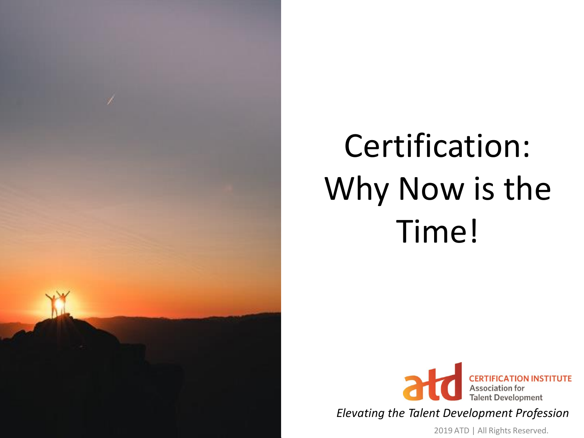

## Certification: Why Now is the Time!



*Elevating the Talent Development Profession*

2019 ATD | All Rights Reserved.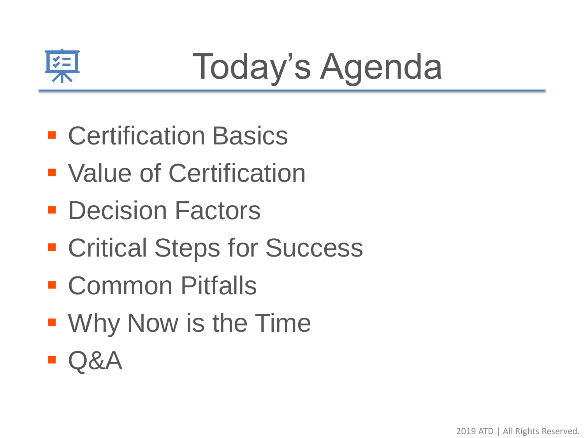

## Today's Agenda

- Certification Basics
- Value of Certification
- Decision Factors
- Critical Steps for Success
- Common Pitfalls
- Why Now is the Time
- $\blacksquare$  Q&A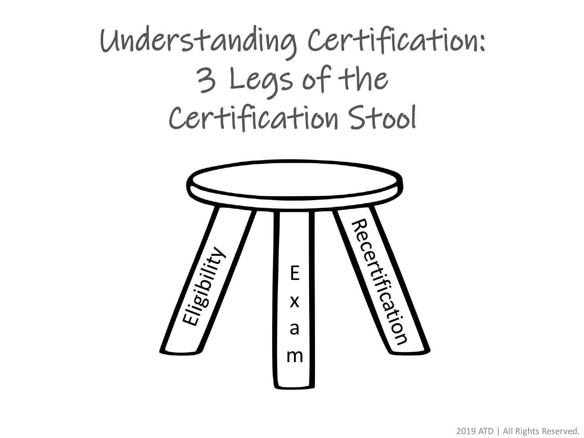#### Understanding Certification: 3 Legs of the Certification Stool

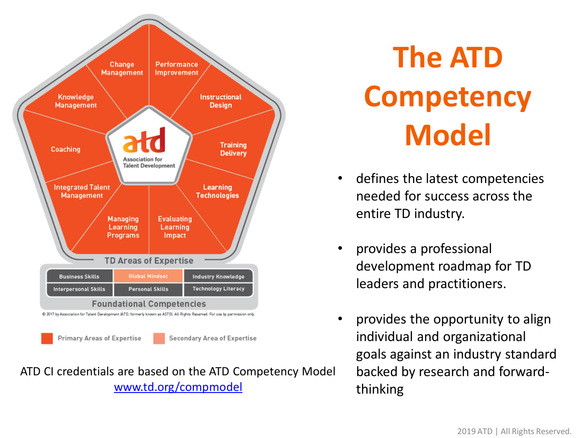

ATD CI credentials are based on the ATD Competency Model [www.td.org/compmodel](http://www.td.org/compmodel)

### **The ATD Competency Model**

- defines the latest competencies needed for success across the entire TD industry.
- provides a professional development roadmap for TD leaders and practitioners.
- provides the opportunity to align individual and organizational goals against an industry standard backed by research and forwardthinking.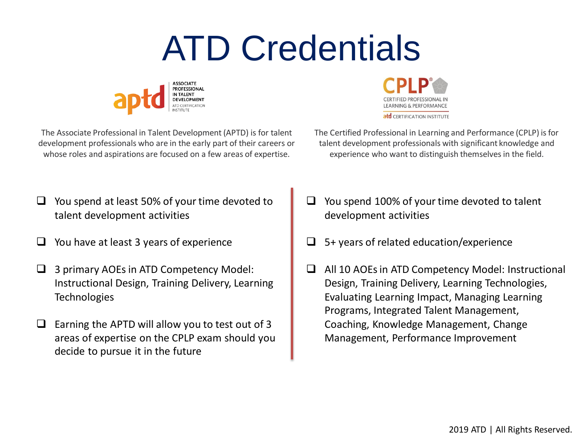## ATD Credentials





The Associate Professional in Talent Development (APTD) is for talent development professionals who are in the early part of their careers or whose roles and aspirations are focused on a few areas of expertise.

The Certified Professional in Learning and Performance (CPLP) is for talent development professionals with significant knowledge and experience who want to distinguish themselves in the field.

- ❑ You spend at least 50% of your time devoted to talent development activities
- You have at least 3 years of experience
- ❑ 3 primary AOEs in ATD Competency Model: Instructional Design, Training Delivery, Learning **Technologies**
- Earning the APTD will allow you to test out of 3 areas of expertise on the CPLP exam should you decide to pursue it in the future
- ❑ You spend 100% of your time devoted to talent development activities
- ❑ 5+ years of related education/experience
- ❑ All 10 AOEs in ATD Competency Model: Instructional Design, Training Delivery, Learning Technologies, Evaluating Learning Impact, Managing Learning Programs, Integrated Talent Management, Coaching, Knowledge Management, Change Management, Performance Improvement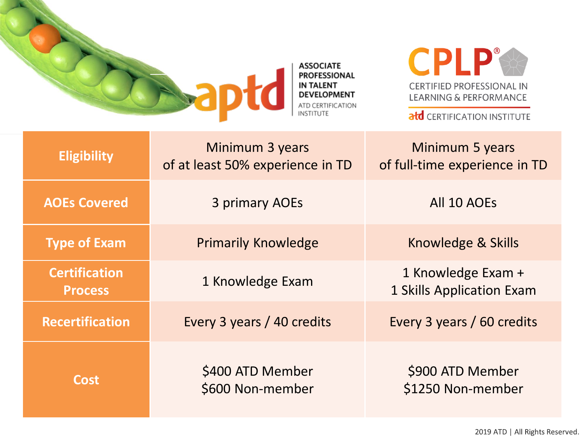

**ASSOCIATE PROFESSIONAL IN TALENT DEVELOPMENT** ATD CERTIFICATION **INSTITUTE** 

**CPLP® CERTIFIED PROFESSIONAL IN LEARNING & PERFORMANCE** 

atd CERTIFICATION INSTITUTE

| <b>Eligibility</b>                     | Minimum 3 years<br>of at least 50% experience in TD | Minimum 5 years<br>of full-time experience in TD |
|----------------------------------------|-----------------------------------------------------|--------------------------------------------------|
| <b>AOEs Covered</b>                    | 3 primary AOEs                                      | All 10 AOEs                                      |
| <b>Type of Exam</b>                    | <b>Primarily Knowledge</b>                          | Knowledge & Skills                               |
| <b>Certification</b><br><b>Process</b> | 1 Knowledge Exam                                    | 1 Knowledge Exam +<br>1 Skills Application Exam  |
| <b>Recertification</b>                 | Every 3 years / 40 credits                          | Every 3 years / 60 credits                       |
| <b>Cost</b>                            | \$400 ATD Member<br>\$600 Non-member                | \$900 ATD Member<br>\$1250 Non-member            |

2019 ATD | All Rights Reserved.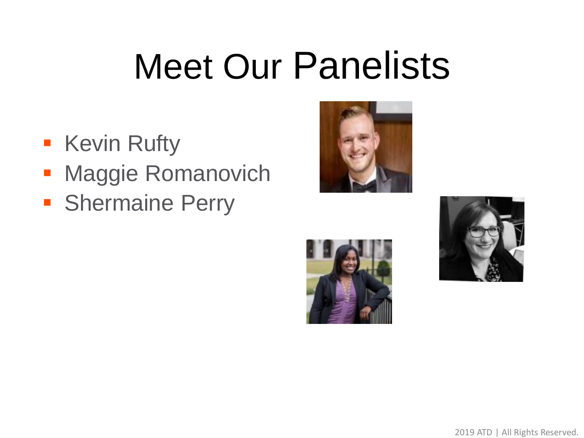# Meet Our Panelists

- **EXEL Kevin Rufty**
- **Maggie Romanovich**
- **Shermaine Perry**





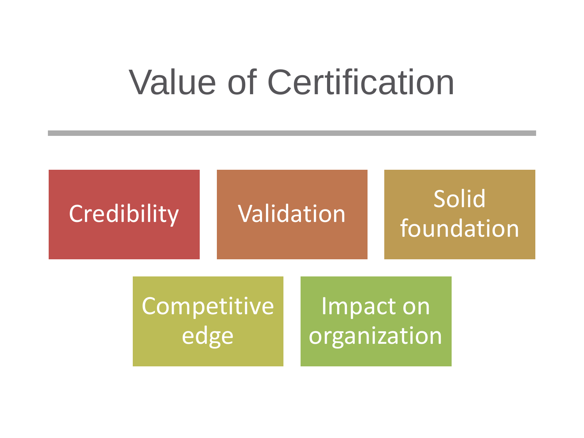#### Value of Certification

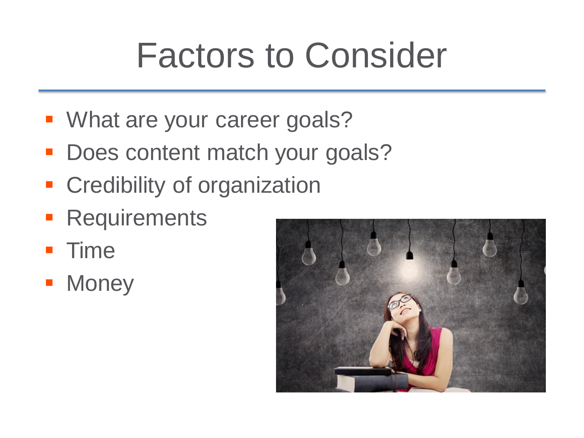## Factors to Consider

- **What are your career goals?**
- **Does content match your goals?**
- **EXP** Credibility of organization
- **EXECUTEMENTS**
- Time
- **Money**

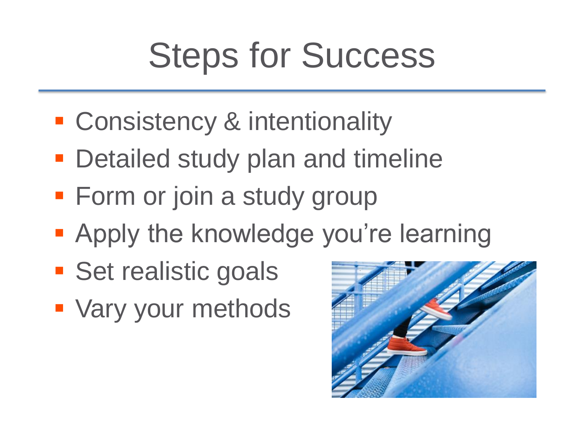## Steps for Success

- **EXCONSISTENCY & intentionality**
- Detailed study plan and timeline
- **Form or join a study group**
- **Apply the knowledge you're learning**
- **E** Set realistic goals
- Vary your methods

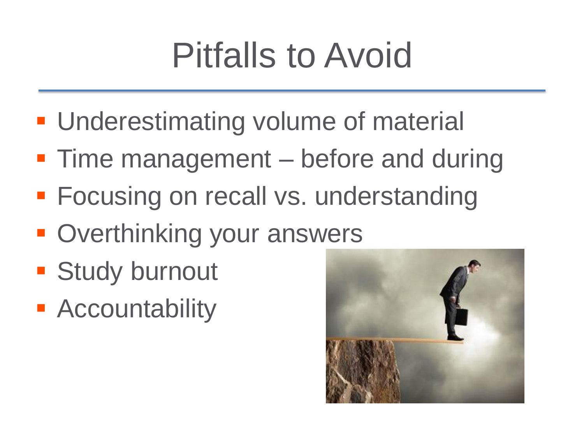## Pitfalls to Avoid

- **Underestimating volume of material**
- **Time management before and during**
- **Focusing on recall vs. understanding**
- Overthinking your answers
- **E** Study burnout
- Accountability

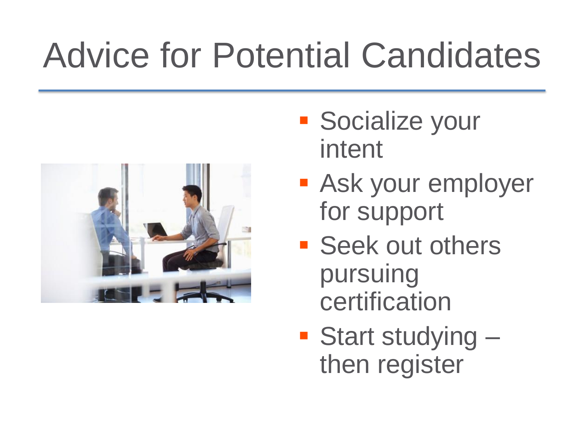## Advice for Potential Candidates



- Socialize your intent
- **E** Ask your employer for support
- Seek out others pursuing certification
- Start studying then register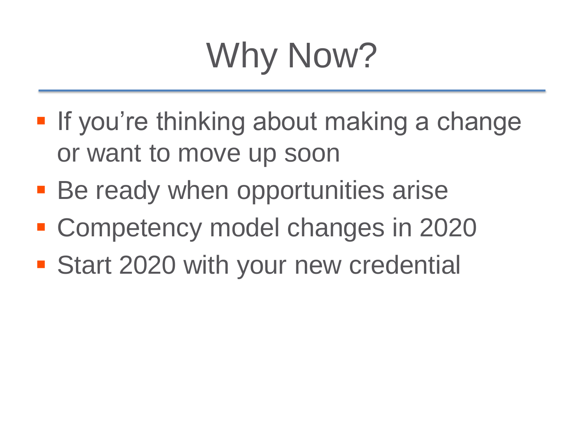# Why Now?

- **If you're thinking about making a change** or want to move up soon
- **Be ready when opportunities arise**
- Competency model changes in 2020
- **Example 1 Start 2020 with your new credential**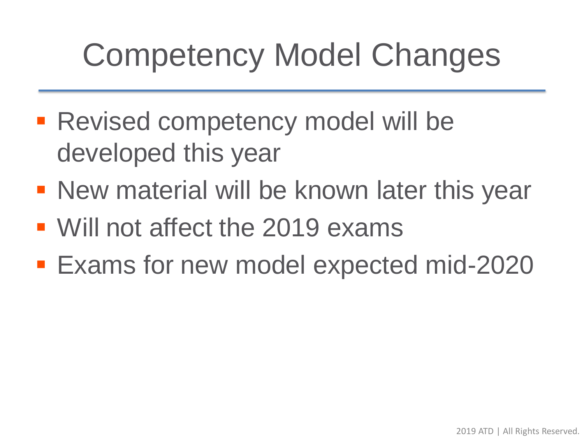### Competency Model Changes

- Revised competency model will be developed this year
- **New material will be known later this year**
- Will not affect the 2019 exams
- Exams for new model expected mid-2020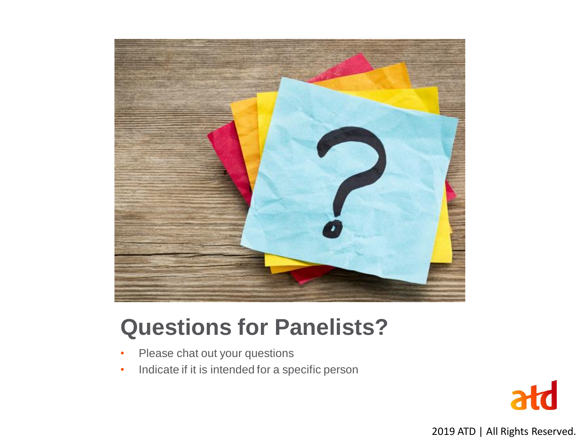

#### **Questions for Panelists?**

- Please chat out your questions
- Indicate if it is intended for a specific person



2019 ATD | All Rights Reserved.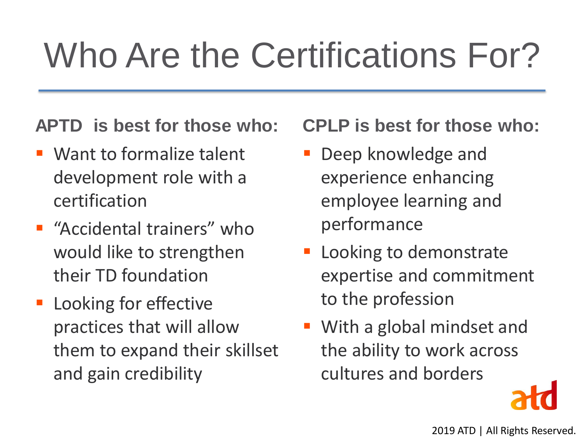## Who Are the Certifications For?

#### **APTD is best for those who:**

- Want to formalize talent development role with a certification
- "Accidental trainers" who would like to strengthen their TD foundation
- Looking for effective practices that will allow them to expand their skillset and gain credibility

**CPLP is best for those who:**

- **Deep knowledge and** experience enhancing employee learning and performance
- **Exercise 1** Looking to demonstrate expertise and commitment to the profession
- With a global mindset and the ability to work across cultures and borders

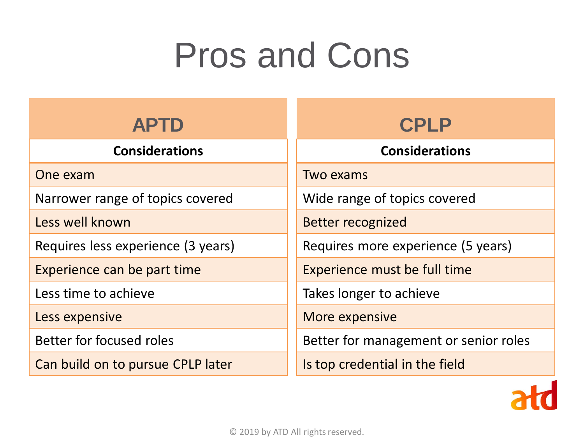## Pros and Cons

| <b>APTD</b>                        | <b>CPLP</b>                           |
|------------------------------------|---------------------------------------|
| <b>Considerations</b>              | <b>Considerations</b>                 |
| One exam                           | <b>Two exams</b>                      |
| Narrower range of topics covered   | Wide range of topics covered          |
| Less well known                    | <b>Better recognized</b>              |
| Requires less experience (3 years) | Requires more experience (5 years)    |
| Experience can be part time        | Experience must be full time          |
| Less time to achieve               | Takes longer to achieve               |
| Less expensive                     | More expensive                        |
| Better for focused roles           | Better for management or senior roles |
| Can build on to pursue CPLP later  | Is top credential in the field        |

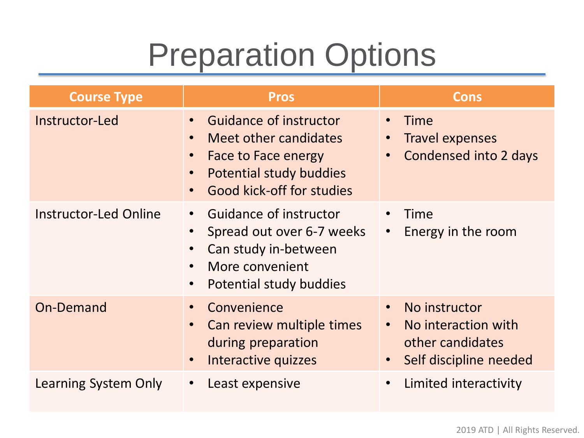#### Preparation Options

| <b>Course Type</b>           | <b>Pros</b>                                                                                                                                                                          | <b>Cons</b>                                                                                                                 |
|------------------------------|--------------------------------------------------------------------------------------------------------------------------------------------------------------------------------------|-----------------------------------------------------------------------------------------------------------------------------|
| Instructor-Led               | <b>Guidance of instructor</b><br>Meet other candidates<br>$\bullet$<br>Face to Face energy<br>$\bullet$<br>Potential study buddies<br>$\bullet$<br>Good kick-off for studies         | Time<br>• Travel expenses<br>Condensed into 2 days                                                                          |
| <b>Instructor-Led Online</b> | <b>Guidance of instructor</b><br>$\bullet$<br>Spread out over 6-7 weeks<br>Can study in-between<br>$\bullet$<br>More convenient<br>$\bullet$<br>Potential study buddies<br>$\bullet$ | Time<br>Energy in the room<br>$\bullet$                                                                                     |
| On-Demand                    | Convenience<br>$\bullet$<br>Can review multiple times<br>during preparation<br>Interactive quizzes                                                                                   | No instructor<br>$\bullet$<br>No interaction with<br>$\bullet$<br>other candidates<br>Self discipline needed<br>$\bullet$ . |
| Learning System Only         | Least expensive                                                                                                                                                                      | Limited interactivity<br>$\bullet$                                                                                          |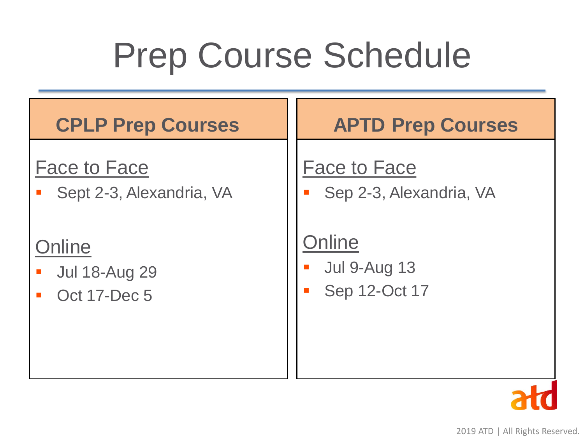## Prep Course Schedule

| <b>CPLP Prep Courses</b>                                                | <b>APTD Prep Courses</b>                                                           |
|-------------------------------------------------------------------------|------------------------------------------------------------------------------------|
| <b>Face to Face</b><br>Sept 2-3, Alexandria, VA<br>$\blacksquare$       | <b>Face to Face</b><br>Sep 2-3, Alexandria, VA<br>$\mathcal{L}_{\mathcal{A}}$      |
| Online<br><b>Jul 18-Aug 29</b><br>$\mathbb{R}^2$<br><b>Oct 17-Dec 5</b> | Online<br><b>Jul 9-Aug 13</b><br>$\mathcal{L}_{\mathcal{A}}$<br>Sep 12-Oct 17<br>П |

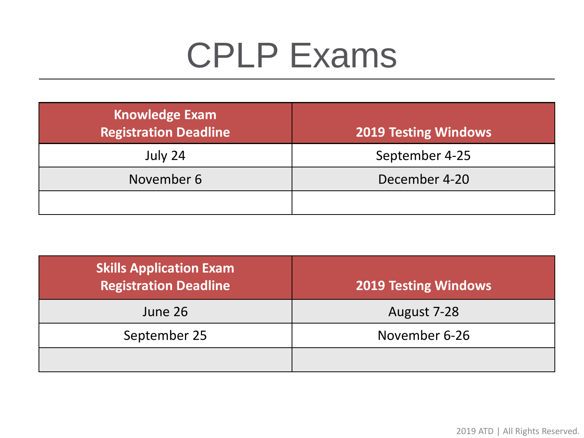## CPLP Exams

| <b>Knowledge Exam</b><br><b>Registration Deadline</b> | <b>2019 Testing Windows</b> |
|-------------------------------------------------------|-----------------------------|
| July 24                                               | September 4-25              |
| November 6                                            | December 4-20               |
|                                                       |                             |

| <b>Skills Application Exam</b><br><b>Registration Deadline</b> | <b>2019 Testing Windows</b> |
|----------------------------------------------------------------|-----------------------------|
| June 26                                                        | August 7-28                 |
| September 25                                                   | November 6-26               |
|                                                                |                             |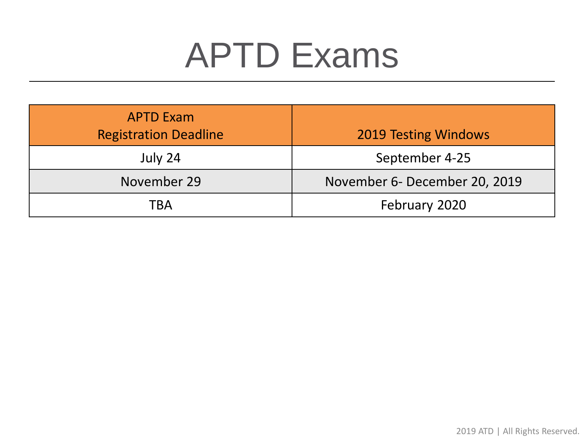### APTD Exams

| <b>APTD Exam</b><br><b>Registration Deadline</b> | <b>2019 Testing Windows</b>   |
|--------------------------------------------------|-------------------------------|
| July 24                                          | September 4-25                |
| November 29                                      | November 6- December 20, 2019 |
| TBA                                              | February 2020                 |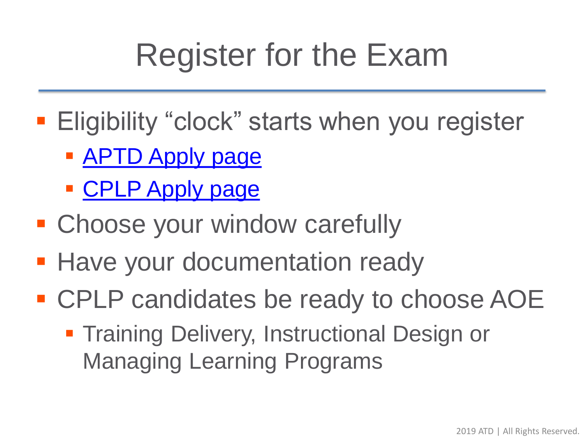### Register for the Exam

- **Eligibility "clock" starts when you register** 
	- **EX[APTD Apply page](https://www.td.org/certification/aptd/apply-new)**
	- **[CPLP Apply page](https://www.td.org/certification/cplp/apply)**
- **E** Choose your window carefully
- **Have your documentation ready**
- CPLP candidates be ready to choose AOE
	- **Training Delivery, Instructional Design or** Managing Learning Programs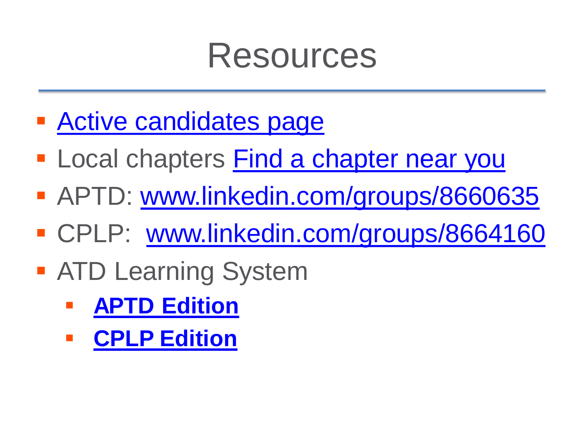#### Resources

- [Active candidates page](http://www.td.org/certification/active-candidates)
- **Examplers [Find a chapter near you](http://www.td.org/chapter-locator)**
- **APTD: [www.linkedin.com/groups/8660635](http://www.linkedin.com/groups/8660635)**
- CPLP: [www.linkedin.com/groups/8664160](http://www.linkedin.com/groups/8664160)
- ATD Learning System
	- **[APTD Edition](https://www.td.org/membership/aptd-learning-system-subscription)**
	- **[CPLP Edition](https://www.td.org/membership/cplp-learning-system-subscription)**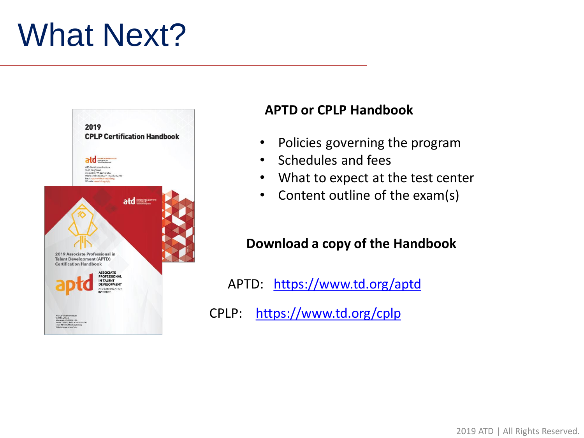#### What Next?



#### **APTD or CPLP Handbook**

- Policies governing the program
- Schedules and fees
- What to expect at the test center
- Content outline of the exam(s)

#### **Download a copy of the Handbook**

APTD: <https://www.td.org/aptd>

CPLP: <https://www.td.org/cplp>